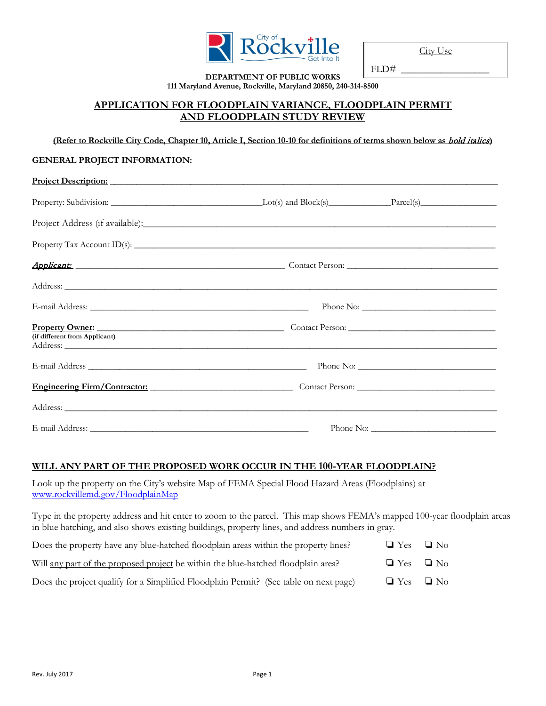

City Use

FLD#

#### **DEPARTMENT OF PUBLIC WORKS 111 Maryland Avenue, Rockville, Maryland 20850, 240-314-8500**

## **APPLICATION FOR FLOODPLAIN VARIANCE, FLOODPLAIN PERMIT AND FLOODPLAIN STUDY REVIEW**

**(Refer to Rockville City Code, Chapter 10, Article I, Section 10-10 for definitions of terms shown below as** bold italics**)**

#### **GENERAL PROJECT INFORMATION:**

| Project Description: New York Contract to the Contract of the Contract of the Contract of the Contract of the Contract of the Contract of the Contract of the Contract of the Contract of the Contract of the Contract of the                                        |  |
|----------------------------------------------------------------------------------------------------------------------------------------------------------------------------------------------------------------------------------------------------------------------|--|
|                                                                                                                                                                                                                                                                      |  |
| Project Address (if available):                                                                                                                                                                                                                                      |  |
| Property Tax Account ID(s): $\frac{1}{2}$                                                                                                                                                                                                                            |  |
|                                                                                                                                                                                                                                                                      |  |
|                                                                                                                                                                                                                                                                      |  |
|                                                                                                                                                                                                                                                                      |  |
| Property Owner: <u>New York: Contact Person:</u> Contact Person: New York: New York: New York: New York: New York: New York: New York: New York: New York: New York: New York: New York: New York: New York: New York: New York: Ne<br>(if different from Applicant) |  |
|                                                                                                                                                                                                                                                                      |  |
| Engineering Firm/Contractor: Contact Person: Contact Person: Contact Person:                                                                                                                                                                                         |  |
|                                                                                                                                                                                                                                                                      |  |
|                                                                                                                                                                                                                                                                      |  |

#### **WILL ANY PART OF THE PROPOSED WORK OCCUR IN THE 100-YEAR FLOODPLAIN?**

Look up the property on the City's website Map of FEMA Special Flood Hazard Areas (Floodplains) at [www.rockvillemd.gov/FloodplainMap](file://files/shares/Environment%20Division/Env_Mgmt/04%20-%20Water%20Resources%20and%20Watershed%20Protection/Floodplain%20Regs%20and%20Info/Floodplain%20Permit-New%20Procedures/New%20Forms/www.rockvillemd.gov/FloodplainMap)

Type in the property address and hit enter to zoom to the parcel. This map shows FEMA's mapped 100-year floodplain areas in blue hatching, and also shows existing buildings, property lines, and address numbers in gray.

| Does the property have any blue-hatched floodplain areas within the property lines?   | $\Box$ Yes $\Box$ No |  |
|---------------------------------------------------------------------------------------|----------------------|--|
| Will any part of the proposed project be within the blue-hatched floodplain area?     | $\Box$ Yes $\Box$ No |  |
| Does the project qualify for a Simplified Floodplain Permit? (See table on next page) | $\Box$ Yes $\Box$ No |  |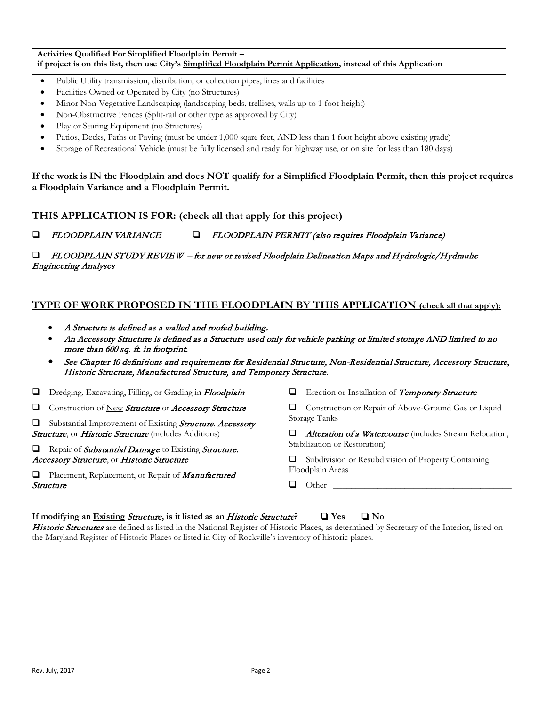**Activities Qualified For Simplified Floodplain Permit – if project is on this list, then use City's Simplified Floodplain Permit Application, instead of this Application**

- Public Utility transmission, distribution, or collection pipes, lines and facilities
- Facilities Owned or Operated by City (no Structures)
- Minor Non-Vegetative Landscaping (landscaping beds, trellises, walls up to 1 foot height)
- Non-Obstructive Fences (Split-rail or other type as approved by City)
- Play or Seating Equipment (no Structures)
- Patios, Decks, Paths or Paving (must be under 1,000 sqare feet, AND less than 1 foot height above existing grade)
- Storage of Recreational Vehicle (must be fully licensed and ready for highway use, or on site for less than 180 days)

**If the work is IN the Floodplain and does NOT qualify for a Simplified Floodplain Permit, then this project requires a Floodplain Variance and a Floodplain Permit.** 

**THIS APPLICATION IS FOR: (check all that apply for this project)** 

FLOODPLAIN VARIANCE FLOODPLAIN PERMIT (also requires Floodplain Variance)

#### FLOODPLAIN STUDY REVIEW – for new or revised Floodplain Delineation Maps and Hydrologic/Hydraulic Engineering Analyses

## **TYPE OF WORK PROPOSED IN THE FLOODPLAIN BY THIS APPLICATION (check all that apply):**

- A Structure is defined as a walled and roofed building.
- An Accessory Structure is defined as a Structure used only for vehicle parking or limited storage AND limited to no more than 600 sq. ft. in footprint.
- See Chapter 10 definitions and requirements for Residential Structure, Non-Residential Structure, Accessory Structure, Historic Structure, Manufactured Structure, and Temporary Structure.

Dredging, Excavating, Filling, or Grading in Floodplain

**Construction of New Structure or Accessory Structure** 

 $\Box$  Substantial Improvement of Existing **Structure**, *Accessory* Structure, or Historic Structure (includes Additions)

 $\Box$  Repair of Substantial Damage to Existing Structure, Accessory Structure, or Historic Structure

 $\Box$  Placement, Replacement, or Repair of *Manufactured* Structure

 $\Box$  Erection or Installation of Temporary Structure

 Construction or Repair of Above-Ground Gas or Liquid Storage Tanks

 $\Box$  Alteration of a Watercourse (includes Stream Relocation, Stabilization or Restoration)

**Q** Subdivision or Resubdivision of Property Containing Floodplain Areas

 $\Box$  Other

# **If modifying an Existing** Structure**, is it listed as an** Historic Structure**?** ❏ **Yes** ❏ **No**

Historic Structures are defined as listed in the National Register of Historic Places, as determined by Secretary of the Interior, listed on the Maryland Register of Historic Places or listed in City of Rockville's inventory of historic places.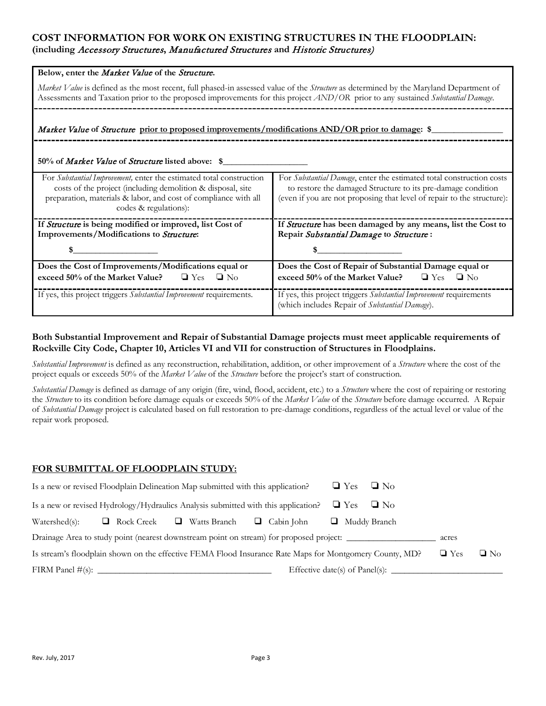## **COST INFORMATION FOR WORK ON EXISTING STRUCTURES IN THE FLOODPLAIN: (including** Accessory Structures**,** Manufactured Structures **and** Historic Structures)

| Below, enter the Market Value of the Structure.                                                                                                                                                                                                                          |                                                                                                                                                                                                                |  |
|--------------------------------------------------------------------------------------------------------------------------------------------------------------------------------------------------------------------------------------------------------------------------|----------------------------------------------------------------------------------------------------------------------------------------------------------------------------------------------------------------|--|
| Market Value is defined as the most recent, full phased-in assessed value of the Structure as determined by the Maryland Department of<br>Assessments and Taxation prior to the proposed improvements for this project AND/OR prior to any sustained Substantial Damage. |                                                                                                                                                                                                                |  |
| Market Value of Structure prior to proposed improvements/modifications AND/OR prior to damage: \$                                                                                                                                                                        |                                                                                                                                                                                                                |  |
| 50% of <i>Market Value</i> of <i>Structure</i> listed above: \$                                                                                                                                                                                                          |                                                                                                                                                                                                                |  |
| For Substantial Improvement, enter the estimated total construction<br>costs of the project (including demolition & disposal, site<br>preparation, materials & labor, and cost of compliance with all<br>codes & regulations):                                           | For Substantial Damage, enter the estimated total construction costs<br>to restore the damaged Structure to its pre-damage condition<br>(even if you are not proposing that level of repair to the structure): |  |
| If Structure is being modified or improved, list Cost of                                                                                                                                                                                                                 | If Structure has been damaged by any means, list the Cost to                                                                                                                                                   |  |
| Improvements/Modifications to Structure:                                                                                                                                                                                                                                 | Repair Substantial Damage to Structure:                                                                                                                                                                        |  |
|                                                                                                                                                                                                                                                                          |                                                                                                                                                                                                                |  |
| Does the Cost of Improvements/Modifications equal or                                                                                                                                                                                                                     | Does the Cost of Repair of Substantial Damage equal or                                                                                                                                                         |  |
| exceed 50% of the Market Value? $\Box$ Yes $\Box$ No                                                                                                                                                                                                                     | exceed 50% of the Market Value? $\Box$ Yes $\Box$ No                                                                                                                                                           |  |
| If yes, this project triggers Substantial Improvement requirements.                                                                                                                                                                                                      | If yes, this project triggers Substantial Improvement requirements<br>(which includes Repair of Substantial Damage).                                                                                           |  |

#### **Both Substantial Improvement and Repair of Substantial Damage projects must meet applicable requirements of Rockville City Code, Chapter 10, Articles VI and VII for construction of Structures in Floodplains.**

*Substantial Improvement* is defined as any reconstruction, rehabilitation, addition, or other improvement of a *Structure* where the cost of the project equals or exceeds 50% of the *Market Value* of the *Structure* before the project's start of construction.

*Substantial Damage* is defined as damage of any origin (fire, wind, flood, accident, etc.) to a *Structure* where the cost of repairing or restoring the *Structure* to its condition before damage equals or exceeds 50% of the *Market Value* of the *Structure* before damage occurred. A Repair of *Substantial Damage* project is calculated based on full restoration to pre-damage conditions, regardless of the actual level or value of the repair work proposed.

#### **FOR SUBMITTAL OF FLOODPLAIN STUDY:**

| Is a new or revised Floodplain Delineation Map submitted with this application?                         | $\Box$ Yes<br>$\Box$ No                        |
|---------------------------------------------------------------------------------------------------------|------------------------------------------------|
| Is a new or revised Hydrology/Hydraulics Analysis submitted with this application?                      | $\Box$ Yes<br>$\Box$ No                        |
| $\Box$ Rock Creek $\Box$ Watts Branch<br>$\Box$ Cabin John<br>Watershed(s):                             | Muddy Branch                                   |
| Drainage Area to study point (nearest downstream point on stream) for proposed project:                 | acres                                          |
| Is stream's floodplain shown on the effective FEMA Flood Insurance Rate Maps for Montgomery County, MDP | $\Box$ No<br>$\Box$ Yes                        |
|                                                                                                         | Effective date(s) of Panel(s): $\qquad \qquad$ |